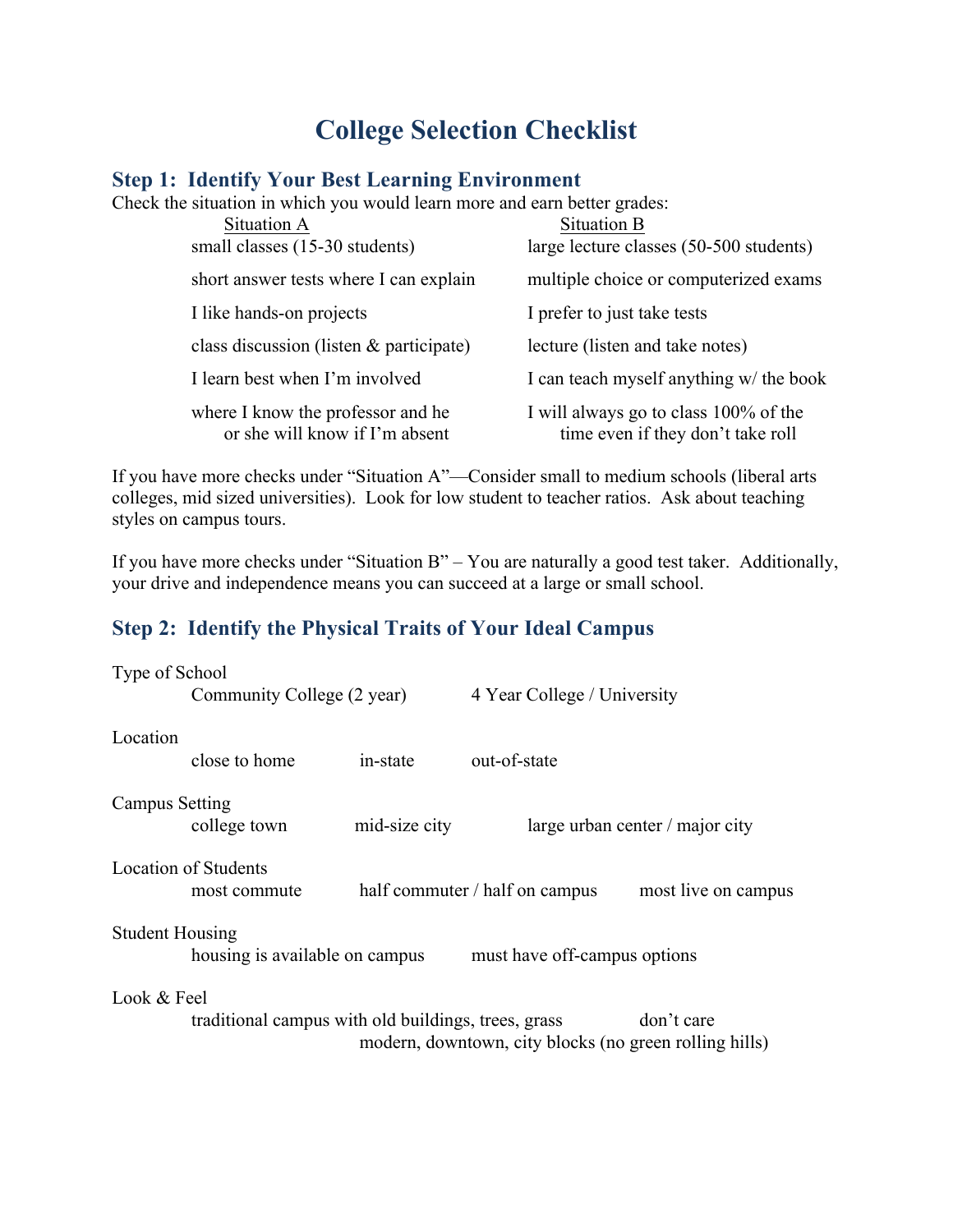# **College Selection Checklist**

# **Step 1: Identify Your Best Learning Environment**

Check the situation in which you would learn more and earn better grades:

| Situation A                                                         | Situation B                                                                |
|---------------------------------------------------------------------|----------------------------------------------------------------------------|
| small classes (15-30 students)                                      | large lecture classes (50-500 students)                                    |
| short answer tests where I can explain                              | multiple choice or computerized exams                                      |
| I like hands-on projects                                            | I prefer to just take tests                                                |
| class discussion (listen $\&$ participate)                          | lecture (listen and take notes)                                            |
| I learn best when I'm involved                                      | I can teach myself anything w/ the book                                    |
| where I know the professor and he<br>or she will know if I'm absent | I will always go to class 100% of the<br>time even if they don't take roll |

If you have more checks under "Situation A"—Consider small to medium schools (liberal arts colleges, mid sized universities). Look for low student to teacher ratios. Ask about teaching styles on campus tours.

If you have more checks under "Situation B" – You are naturally a good test taker. Additionally, your drive and independence means you can succeed at a large or small school.

# **Step 2: Identify the Physical Traits of Your Ideal Campus**

| Type of School                                                    |                                                                |               |                                |                                 |  |  |
|-------------------------------------------------------------------|----------------------------------------------------------------|---------------|--------------------------------|---------------------------------|--|--|
|                                                                   | Community College (2 year)                                     |               | 4 Year College / University    |                                 |  |  |
| Location                                                          |                                                                |               |                                |                                 |  |  |
|                                                                   | close to home                                                  | in-state      | out-of-state                   |                                 |  |  |
| <b>Campus Setting</b>                                             |                                                                |               |                                |                                 |  |  |
|                                                                   | college town                                                   | mid-size city |                                | large urban center / major city |  |  |
| <b>Location of Students</b>                                       |                                                                |               |                                |                                 |  |  |
|                                                                   | most commute                                                   |               | half commuter / half on campus | most live on campus             |  |  |
| <b>Student Housing</b>                                            |                                                                |               |                                |                                 |  |  |
|                                                                   | housing is available on campus<br>must have off-campus options |               |                                |                                 |  |  |
| Look & Feel                                                       |                                                                |               |                                |                                 |  |  |
| traditional campus with old buildings, trees, grass<br>don't care |                                                                |               |                                |                                 |  |  |
| modern, downtown, city blocks (no green rolling hills)            |                                                                |               |                                |                                 |  |  |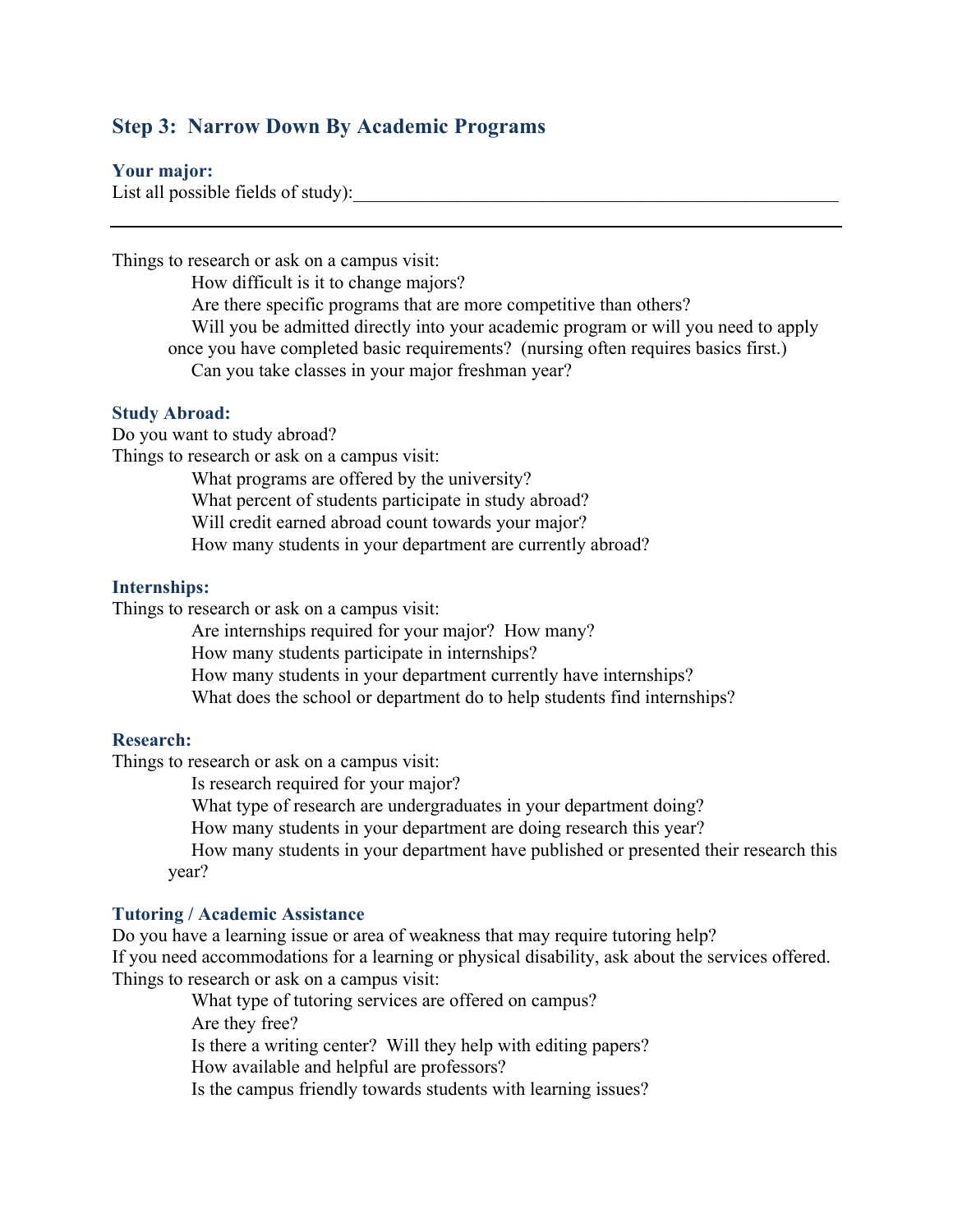# **Step 3: Narrow Down By Academic Programs**

#### **Your major:**

List all possible fields of study):

Things to research or ask on a campus visit: How difficult is it to change majors? Are there specific programs that are more competitive than others? Will you be admitted directly into your academic program or will you need to apply once you have completed basic requirements? (nursing often requires basics first.) Can you take classes in your major freshman year?

#### **Study Abroad:**

Do you want to study abroad?

Things to research or ask on a campus visit:

What programs are offered by the university?

What percent of students participate in study abroad?

Will credit earned abroad count towards your major?

How many students in your department are currently abroad?

#### **Internships:**

Things to research or ask on a campus visit:

Are internships required for your major? How many?

How many students participate in internships?

How many students in your department currently have internships?

What does the school or department do to help students find internships?

#### **Research:**

Things to research or ask on a campus visit:

Is research required for your major?

What type of research are undergraduates in your department doing?

How many students in your department are doing research this year?

 How many students in your department have published or presented their research this year?

## **Tutoring / Academic Assistance**

Do you have a learning issue or area of weakness that may require tutoring help? If you need accommodations for a learning or physical disability, ask about the services offered. Things to research or ask on a campus visit:

 What type of tutoring services are offered on campus? Are they free? Is there a writing center? Will they help with editing papers? How available and helpful are professors? Is the campus friendly towards students with learning issues?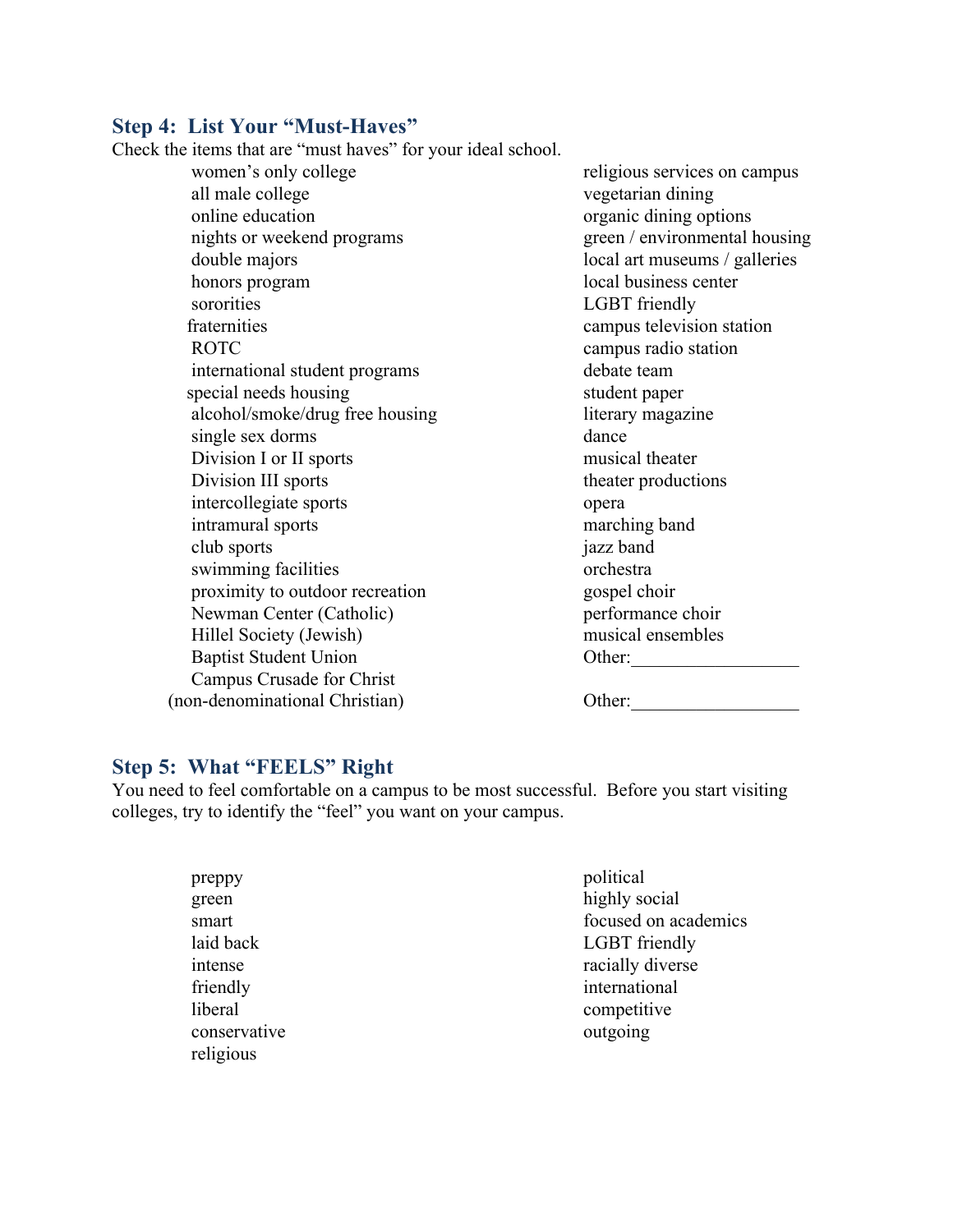# **Step 4: List Your "Must-Haves"**

Check the items that are "must haves" for your ideal school.

 women's only college all male college online education nights or weekend programs double majors honors program sororities fraternities ROTC international student programs special needs housing alcohol/smoke/drug free housing single sex dorms Division I or II sports Division III sports intercollegiate sports intramural sports club sports swimming facilities proximity to outdoor recreation Newman Center (Catholic) Hillel Society (Jewish) Baptist Student Union Campus Crusade for Christ (non-denominational Christian)

 religious services on campus vegetarian dining organic dining options green / environmental housing local art museums / galleries local business center LGBT friendly campus television station campus radio station debate team student paper literary magazine dance musical theater theater productions opera marching band jazz band orchestra gospel choir performance choir musical ensembles Other:\_\_\_\_\_\_\_\_\_\_\_\_\_\_\_\_\_\_

Other:

## **Step 5: What "FEELS" Right**

You need to feel comfortable on a campus to be most successful. Before you start visiting colleges, try to identify the "feel" you want on your campus.

| preppy       | political            |
|--------------|----------------------|
| green        | highly social        |
| smart        | focused on academics |
| laid back    | <b>LGBT</b> friendly |
| intense      | racially diverse     |
| friendly     | international        |
| liberal      | competitive          |
| conservative | outgoing             |
| religious    |                      |